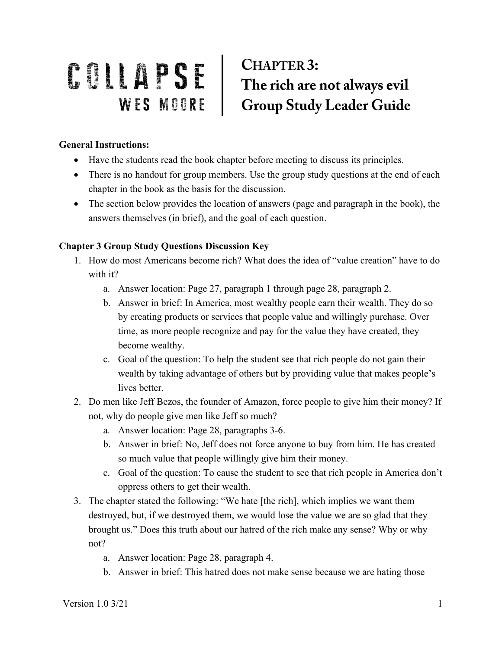## **CHAPTER 3:** COLLAPSE CHAPTER 3:<br>WES MOORE Group Study Leader Guide

## **General Instructions:**

- Have the students read the book chapter before meeting to discuss its principles.
- There is no handout for group members. Use the group study questions at the end of each chapter in the book as the basis for the discussion.
- The section below provides the location of answers (page and paragraph in the book), the answers themselves (in brief), and the goal of each question.

## **Chapter 3 Group Study Questions Discussion Key**

- 1. How do most Americans become rich? What does the idea of "value creation" have to do with it?
	- a. Answer location: Page 27, paragraph 1 through page 28, paragraph 2.
	- b. Answer in brief: In America, most wealthy people earn their wealth. They do so by creating products or services that people value and willingly purchase. Over time, as more people recognize and pay for the value they have created, they become wealthy.
	- c. Goal of the question: To help the student see that rich people do not gain their wealth by taking advantage of others but by providing value that makes people's lives better.
- 2. Do men like Jeff Bezos, the founder of Amazon, force people to give him their money? If not, why do people give men like Jeff so much?
	- a. Answer location: Page 28, paragraphs 3-6.
	- b. Answer in brief: No, Jeff does not force anyone to buy from him. He has created so much value that people willingly give him their money.
	- c. Goal of the question: To cause the student to see that rich people in America don't oppress others to get their wealth.
- 3. The chapter stated the following: "We hate [the rich], which implies we want them destroyed, but, if we destroyed them, we would lose the value we are so glad that they brought us." Does this truth about our hatred of the rich make any sense? Why or why not?
	- a. Answer location: Page 28, paragraph 4.
	- b. Answer in brief: This hatred does not make sense because we are hating those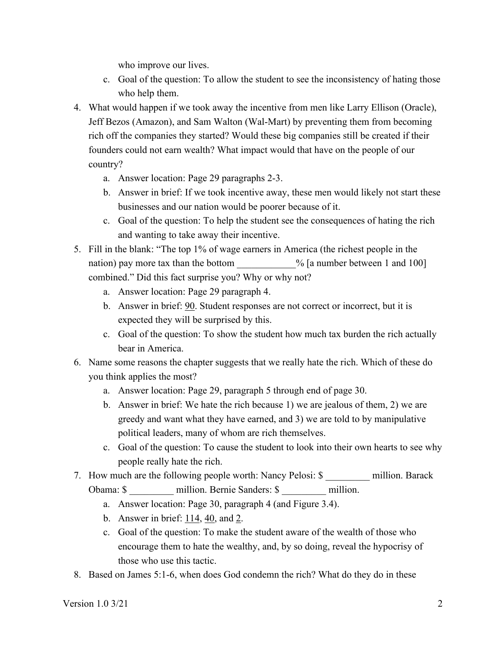who improve our lives.

- c. Goal of the question: To allow the student to see the inconsistency of hating those who help them.
- 4. What would happen if we took away the incentive from men like Larry Ellison (Oracle), Jeff Bezos (Amazon), and Sam Walton (Wal-Mart) by preventing them from becoming rich off the companies they started? Would these big companies still be created if their founders could not earn wealth? What impact would that have on the people of our country?
	- a. Answer location: Page 29 paragraphs 2-3.
	- b. Answer in brief: If we took incentive away, these men would likely not start these businesses and our nation would be poorer because of it.
	- c. Goal of the question: To help the student see the consequences of hating the rich and wanting to take away their incentive.
- 5. Fill in the blank: "The top 1% of wage earners in America (the richest people in the nation) pay more tax than the bottom  $\%$  [a number between 1 and 100] combined." Did this fact surprise you? Why or why not?
	- a. Answer location: Page 29 paragraph 4.
	- b. Answer in brief: 90. Student responses are not correct or incorrect, but it is expected they will be surprised by this.
	- c. Goal of the question: To show the student how much tax burden the rich actually bear in America.
- 6. Name some reasons the chapter suggests that we really hate the rich. Which of these do you think applies the most?
	- a. Answer location: Page 29, paragraph 5 through end of page 30.
	- b. Answer in brief: We hate the rich because 1) we are jealous of them, 2) we are greedy and want what they have earned, and 3) we are told to by manipulative political leaders, many of whom are rich themselves.
	- c. Goal of the question: To cause the student to look into their own hearts to see why people really hate the rich.
- 7. How much are the following people worth: Nancy Pelosi: \$ million. Barack Obama: \$ \_\_\_\_\_\_\_\_\_ million. Bernie Sanders: \$ \_\_\_\_\_\_\_ million.
	- a. Answer location: Page 30, paragraph 4 (and Figure 3.4).
	- b. Answer in brief:  $114, 40$ , and 2.
	- c. Goal of the question: To make the student aware of the wealth of those who encourage them to hate the wealthy, and, by so doing, reveal the hypocrisy of those who use this tactic.
- 8. Based on James 5:1-6, when does God condemn the rich? What do they do in these